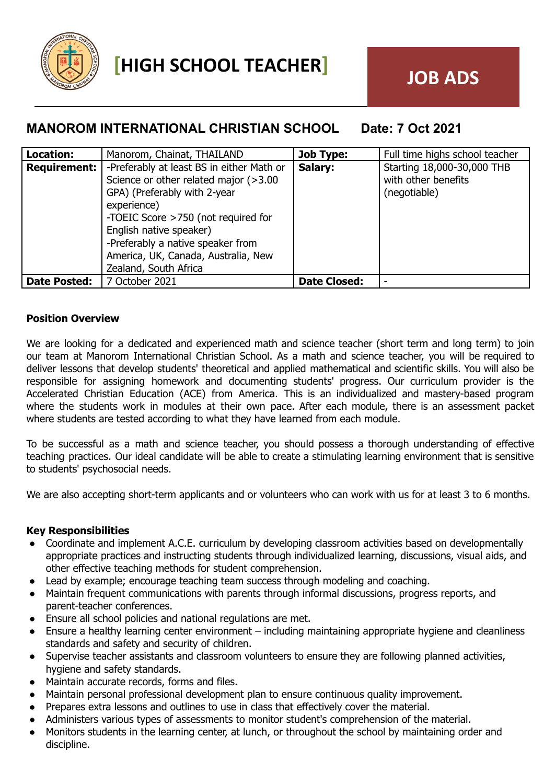

# **MANOROM INTERNATIONAL CHRISTIAN SCHOOL Date: 7 Oct 2021**

| Location:           | Manorom, Chainat, THAILAND                | <b>Job Type:</b>    | Full time highs school teacher |
|---------------------|-------------------------------------------|---------------------|--------------------------------|
| <b>Requirement:</b> | -Preferably at least BS in either Math or | Salary:             | Starting 18,000-30,000 THB     |
|                     | Science or other related major (>3.00     |                     | with other benefits            |
|                     | GPA) (Preferably with 2-year              |                     | (negotiable)                   |
|                     | experience)                               |                     |                                |
|                     | -TOEIC Score >750 (not required for       |                     |                                |
|                     | English native speaker)                   |                     |                                |
|                     | -Preferably a native speaker from         |                     |                                |
|                     | America, UK, Canada, Australia, New       |                     |                                |
|                     | Zealand, South Africa                     |                     |                                |
| <b>Date Posted:</b> | 17 October 2021                           | <b>Date Closed:</b> |                                |

## **Position Overview**

We are looking for a dedicated and experienced math and science teacher (short term and long term) to join our team at Manorom International Christian School. As a math and science teacher, you will be required to deliver lessons that develop students' theoretical and applied mathematical and scientific skills. You will also be responsible for assigning homework and documenting students' progress. Our curriculum provider is the Accelerated Christian Education (ACE) from America. This is an individualized and mastery-based program where the students work in modules at their own pace. After each module, there is an assessment packet where students are tested according to what they have learned from each module.

To be successful as a math and science teacher, you should possess a thorough understanding of effective teaching practices. Our ideal candidate will be able to create a stimulating learning environment that is sensitive to students' psychosocial needs.

We are also accepting short-term applicants and or volunteers who can work with us for at least 3 to 6 months.

### **Key Responsibilities**

- Coordinate and implement A.C.E. curriculum by developing classroom activities based on developmentally appropriate practices and instructing students through individualized learning, discussions, visual aids, and other effective teaching methods for student comprehension.
- Lead by example; encourage teaching team success through modeling and coaching.
- Maintain frequent communications with parents through informal discussions, progress reports, and parent-teacher conferences.
- Ensure all school policies and national regulations are met.
- Ensure a healthy learning center environment including maintaining appropriate hygiene and cleanliness standards and safety and security of children.
- Supervise teacher assistants and classroom volunteers to ensure they are following planned activities, hygiene and safety standards.
- Maintain accurate records, forms and files.
- Maintain personal professional development plan to ensure continuous quality improvement.
- Prepares extra lessons and outlines to use in class that effectively cover the material.
- Administers various types of assessments to monitor student's comprehension of the material.
- Monitors students in the learning center, at lunch, or throughout the school by maintaining order and discipline.